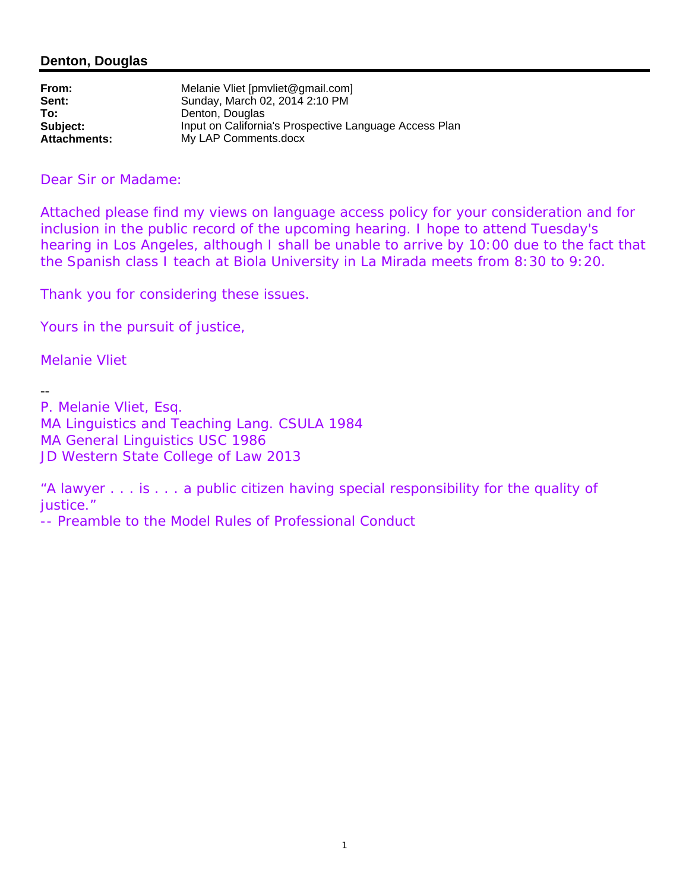# **Denton, Douglas**

| From:               | Melanie Vliet [pmvliet@gmail.com]                      |
|---------------------|--------------------------------------------------------|
| Sent:               | Sunday, March 02, 2014 2:10 PM                         |
| To:                 | Denton, Douglas                                        |
| Subject:            | Input on California's Prospective Language Access Plan |
| <b>Attachments:</b> | My LAP Comments.docx                                   |

Dear Sir or Madame:

Attached please find my views on language access policy for your consideration and for inclusion in the public record of the upcoming hearing. I hope to attend Tuesday's hearing in Los Angeles, although I shall be unable to arrive by 10:00 due to the fact that the Spanish class I teach at Biola University in La Mirada meets from 8:30 to 9:20.

Thank you for considering these issues.

Yours in the pursuit of justice,

Melanie Vliet

--

P. Melanie Vliet, Esq. MA Linguistics and Teaching Lang. CSULA 1984 MA General Linguistics USC 1986 JD Western State College of Law 2013

"A lawyer . . . is . . . a public citizen having special responsibility for the quality of justice."

-- Preamble to the Model Rules of Professional Conduct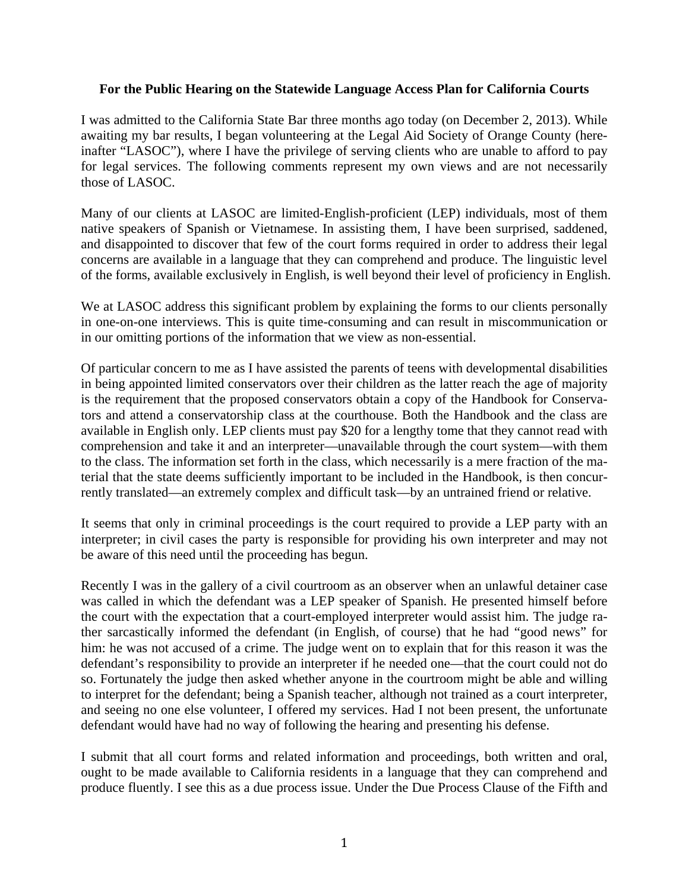# **For the Public Hearing on the Statewide Language Access Plan for California Courts**

I was admitted to the California State Bar three months ago today (on December 2, 2013). While awaiting my bar results, I began volunteering at the Legal Aid Society of Orange County (hereinafter "LASOC"), where I have the privilege of serving clients who are unable to afford to pay for legal services. The following comments represent my own views and are not necessarily those of LASOC.

Many of our clients at LASOC are limited-English-proficient (LEP) individuals, most of them native speakers of Spanish or Vietnamese. In assisting them, I have been surprised, saddened, and disappointed to discover that few of the court forms required in order to address their legal concerns are available in a language that they can comprehend and produce. The linguistic level of the forms, available exclusively in English, is well beyond their level of proficiency in English.

We at LASOC address this significant problem by explaining the forms to our clients personally in one-on-one interviews. This is quite time-consuming and can result in miscommunication or in our omitting portions of the information that we view as non-essential.

Of particular concern to me as I have assisted the parents of teens with developmental disabilities in being appointed limited conservators over their children as the latter reach the age of majority is the requirement that the proposed conservators obtain a copy of the Handbook for Conservators and attend a conservatorship class at the courthouse. Both the Handbook and the class are available in English only. LEP clients must pay \$20 for a lengthy tome that they cannot read with comprehension and take it and an interpreter—unavailable through the court system—with them to the class. The information set forth in the class, which necessarily is a mere fraction of the material that the state deems sufficiently important to be included in the Handbook, is then concurrently translated—an extremely complex and difficult task—by an untrained friend or relative.

It seems that only in criminal proceedings is the court required to provide a LEP party with an interpreter; in civil cases the party is responsible for providing his own interpreter and may not be aware of this need until the proceeding has begun.

Recently I was in the gallery of a civil courtroom as an observer when an unlawful detainer case was called in which the defendant was a LEP speaker of Spanish. He presented himself before the court with the expectation that a court-employed interpreter would assist him. The judge rather sarcastically informed the defendant (in English, of course) that he had "good news" for him: he was not accused of a crime. The judge went on to explain that for this reason it was the defendant's responsibility to provide an interpreter if he needed one—that the court could not do so. Fortunately the judge then asked whether anyone in the courtroom might be able and willing to interpret for the defendant; being a Spanish teacher, although not trained as a court interpreter, and seeing no one else volunteer, I offered my services. Had I not been present, the unfortunate defendant would have had no way of following the hearing and presenting his defense.

I submit that all court forms and related information and proceedings, both written and oral, ought to be made available to California residents in a language that they can comprehend and produce fluently. I see this as a due process issue. Under the Due Process Clause of the Fifth and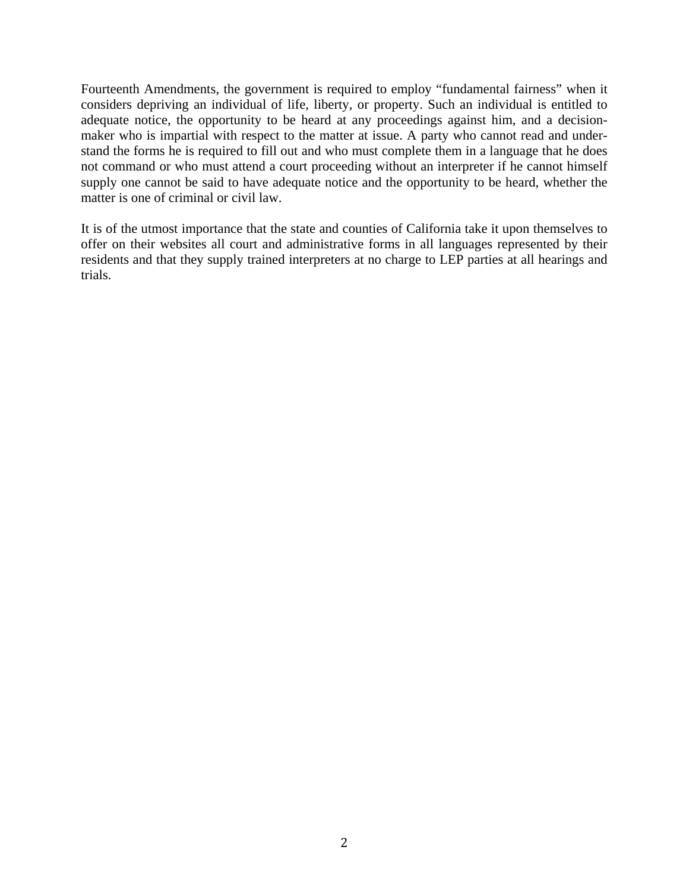Fourteenth Amendments, the government is required to employ "fundamental fairness" when it considers depriving an individual of life, liberty, or property. Such an individual is entitled to adequate notice, the opportunity to be heard at any proceedings against him, and a decisionmaker who is impartial with respect to the matter at issue. A party who cannot read and understand the forms he is required to fill out and who must complete them in a language that he does not command or who must attend a court proceeding without an interpreter if he cannot himself supply one cannot be said to have adequate notice and the opportunity to be heard, whether the matter is one of criminal or civil law.

It is of the utmost importance that the state and counties of California take it upon themselves to offer on their websites all court and administrative forms in all languages represented by their residents and that they supply trained interpreters at no charge to LEP parties at all hearings and trials.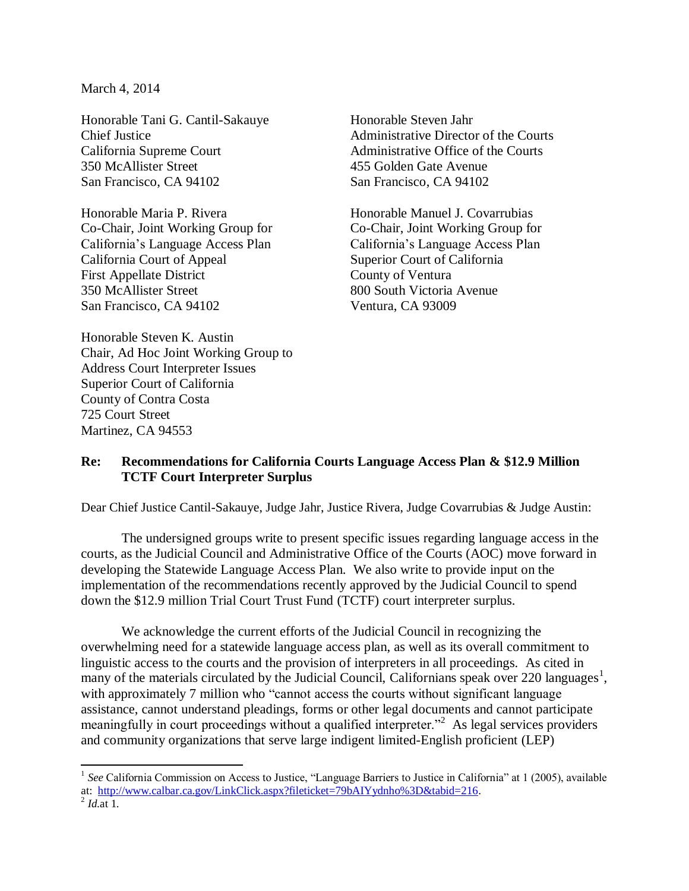March 4, 2014

Honorable Tani G. Cantil-Sakauye Chief Justice California Supreme Court 350 McAllister Street San Francisco, CA 94102

Honorable Maria P. Rivera Co-Chair, Joint Working Group for California's Language Access Plan California Court of Appeal First Appellate District 350 McAllister Street San Francisco, CA 94102

Honorable Steven K. Austin Chair, Ad Hoc Joint Working Group to Address Court Interpreter Issues Superior Court of California County of Contra Costa 725 Court Street Martinez, CA 94553

Honorable Steven Jahr Administrative Director of the Courts Administrative Office of the Courts 455 Golden Gate Avenue San Francisco, CA 94102

Honorable Manuel J. Covarrubias Co-Chair, Joint Working Group for California's Language Access Plan Superior Court of California County of Ventura 800 South Victoria Avenue Ventura, CA 93009

# **Re: Recommendations for California Courts Language Access Plan & \$12.9 Million TCTF Court Interpreter Surplus**

Dear Chief Justice Cantil-Sakauye, Judge Jahr, Justice Rivera, Judge Covarrubias & Judge Austin:

The undersigned groups write to present specific issues regarding language access in the courts, as the Judicial Council and Administrative Office of the Courts (AOC) move forward in developing the Statewide Language Access Plan. We also write to provide input on the implementation of the recommendations recently approved by the Judicial Council to spend down the \$12.9 million Trial Court Trust Fund (TCTF) court interpreter surplus.

We acknowledge the current efforts of the Judicial Council in recognizing the overwhelming need for a statewide language access plan, as well as its overall commitment to linguistic access to the courts and the provision of interpreters in all proceedings. As cited in many of the materials circulated by the Judicial Council, Californians speak over 220 languages<sup>1</sup>, with approximately 7 million who "cannot access the courts without significant language assistance, cannot understand pleadings, forms or other legal documents and cannot participate meaningfully in court proceedings without a qualified interpreter."<sup>2</sup> As legal services providers and community organizations that serve large indigent limited-English proficient (LEP)

 $\overline{a}$ <sup>1</sup> See California Commission on Access to Justice, "Language Barriers to Justice in California" at 1 (2005), available at: [http://www.calbar.ca.gov/LinkClick.aspx?fileticket=79bAIYydnho%3D&tabid=216.](http://www.calbar.ca.gov/LinkClick.aspx?fileticket=79bAIYydnho%3D&tabid=216)

 $^{2}$  *Id.*at 1.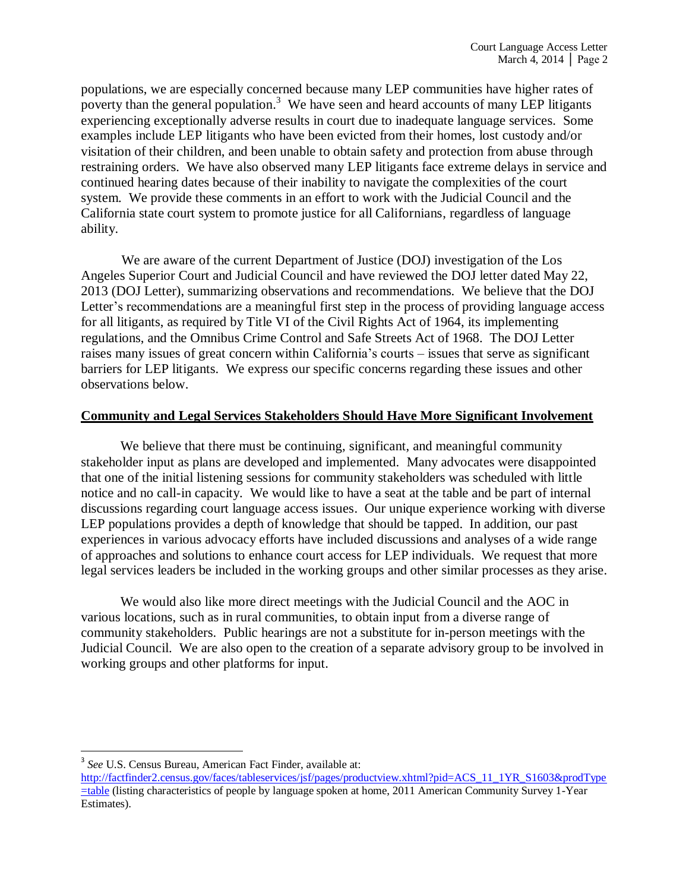populations, we are especially concerned because many LEP communities have higher rates of poverty than the general population.<sup>3</sup> We have seen and heard accounts of many LEP litigants experiencing exceptionally adverse results in court due to inadequate language services. Some examples include LEP litigants who have been evicted from their homes, lost custody and/or visitation of their children, and been unable to obtain safety and protection from abuse through restraining orders. We have also observed many LEP litigants face extreme delays in service and continued hearing dates because of their inability to navigate the complexities of the court system. We provide these comments in an effort to work with the Judicial Council and the California state court system to promote justice for all Californians, regardless of language ability.

We are aware of the current Department of Justice (DOJ) investigation of the Los Angeles Superior Court and Judicial Council and have reviewed the DOJ letter dated May 22, 2013 (DOJ Letter), summarizing observations and recommendations. We believe that the DOJ Letter's recommendations are a meaningful first step in the process of providing language access for all litigants, as required by Title VI of the Civil Rights Act of 1964, its implementing regulations, and the Omnibus Crime Control and Safe Streets Act of 1968. The DOJ Letter raises many issues of great concern within California's courts – issues that serve as significant barriers for LEP litigants. We express our specific concerns regarding these issues and other observations below.

# **Community and Legal Services Stakeholders Should Have More Significant Involvement**

We believe that there must be continuing, significant, and meaningful community stakeholder input as plans are developed and implemented. Many advocates were disappointed that one of the initial listening sessions for community stakeholders was scheduled with little notice and no call-in capacity. We would like to have a seat at the table and be part of internal discussions regarding court language access issues. Our unique experience working with diverse LEP populations provides a depth of knowledge that should be tapped. In addition, our past experiences in various advocacy efforts have included discussions and analyses of a wide range of approaches and solutions to enhance court access for LEP individuals. We request that more legal services leaders be included in the working groups and other similar processes as they arise.

We would also like more direct meetings with the Judicial Council and the AOC in various locations, such as in rural communities, to obtain input from a diverse range of community stakeholders. Public hearings are not a substitute for in-person meetings with the Judicial Council. We are also open to the creation of a separate advisory group to be involved in working groups and other platforms for input.

 $\overline{\phantom{a}}$ 

<sup>3</sup> *See* U.S. Census Bureau, American Fact Finder, available at:

[http://factfinder2.census.gov/faces/tableservices/jsf/pages/productview.xhtml?pid=ACS\\_11\\_1YR\\_S1603&prodType](http://factfinder2.census.gov/faces/tableservices/jsf/pages/productview.xhtml?pid=ACS_11_1YR_S1603&prodType=table) [=table](http://factfinder2.census.gov/faces/tableservices/jsf/pages/productview.xhtml?pid=ACS_11_1YR_S1603&prodType=table) (listing characteristics of people by language spoken at home, 2011 American Community Survey 1-Year Estimates).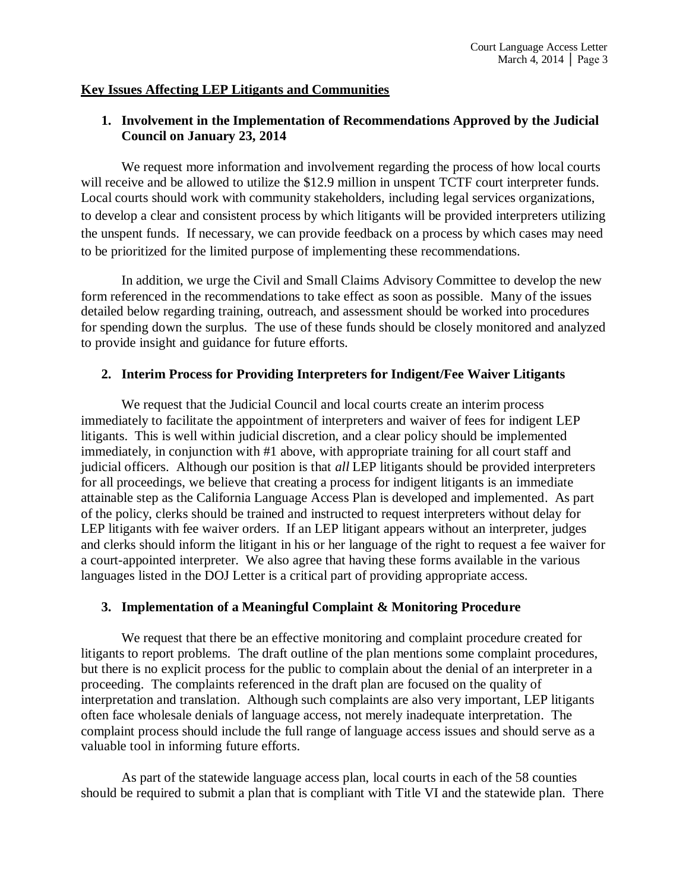# **Key Issues Affecting LEP Litigants and Communities**

# **1. Involvement in the Implementation of Recommendations Approved by the Judicial Council on January 23, 2014**

We request more information and involvement regarding the process of how local courts will receive and be allowed to utilize the \$12.9 million in unspent TCTF court interpreter funds. Local courts should work with community stakeholders, including legal services organizations, to develop a clear and consistent process by which litigants will be provided interpreters utilizing the unspent funds. If necessary, we can provide feedback on a process by which cases may need to be prioritized for the limited purpose of implementing these recommendations.

In addition, we urge the Civil and Small Claims Advisory Committee to develop the new form referenced in the recommendations to take effect as soon as possible. Many of the issues detailed below regarding training, outreach, and assessment should be worked into procedures for spending down the surplus. The use of these funds should be closely monitored and analyzed to provide insight and guidance for future efforts.

### **2. Interim Process for Providing Interpreters for Indigent/Fee Waiver Litigants**

We request that the Judicial Council and local courts create an interim process immediately to facilitate the appointment of interpreters and waiver of fees for indigent LEP litigants. This is well within judicial discretion, and a clear policy should be implemented immediately, in conjunction with #1 above, with appropriate training for all court staff and judicial officers. Although our position is that *all* LEP litigants should be provided interpreters for all proceedings, we believe that creating a process for indigent litigants is an immediate attainable step as the California Language Access Plan is developed and implemented. As part of the policy, clerks should be trained and instructed to request interpreters without delay for LEP litigants with fee waiver orders. If an LEP litigant appears without an interpreter, judges and clerks should inform the litigant in his or her language of the right to request a fee waiver for a court-appointed interpreter. We also agree that having these forms available in the various languages listed in the DOJ Letter is a critical part of providing appropriate access.

# **3. Implementation of a Meaningful Complaint & Monitoring Procedure**

We request that there be an effective monitoring and complaint procedure created for litigants to report problems. The draft outline of the plan mentions some complaint procedures, but there is no explicit process for the public to complain about the denial of an interpreter in a proceeding. The complaints referenced in the draft plan are focused on the quality of interpretation and translation. Although such complaints are also very important, LEP litigants often face wholesale denials of language access, not merely inadequate interpretation. The complaint process should include the full range of language access issues and should serve as a valuable tool in informing future efforts.

As part of the statewide language access plan, local courts in each of the 58 counties should be required to submit a plan that is compliant with Title VI and the statewide plan. There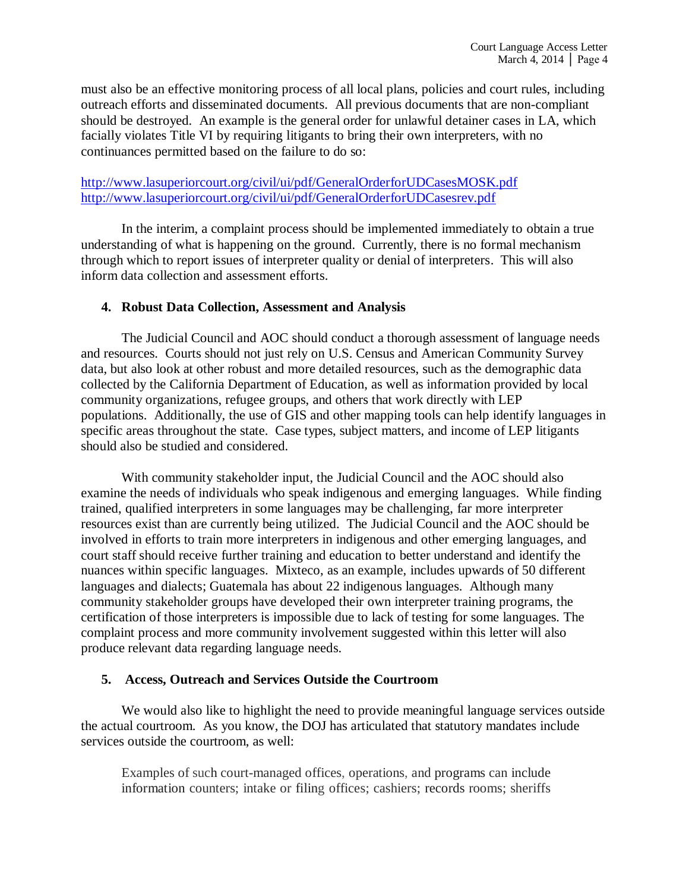must also be an effective monitoring process of all local plans, policies and court rules, including outreach efforts and disseminated documents. All previous documents that are non-compliant should be destroyed. An example is the general order for unlawful detainer cases in LA, which facially violates Title VI by requiring litigants to bring their own interpreters, with no continuances permitted based on the failure to do so:

# <http://www.lasuperiorcourt.org/civil/ui/pdf/GeneralOrderforUDCasesMOSK.pdf> <http://www.lasuperiorcourt.org/civil/ui/pdf/GeneralOrderforUDCasesrev.pdf>

In the interim, a complaint process should be implemented immediately to obtain a true understanding of what is happening on the ground. Currently, there is no formal mechanism through which to report issues of interpreter quality or denial of interpreters. This will also inform data collection and assessment efforts.

# **4. Robust Data Collection, Assessment and Analysis**

The Judicial Council and AOC should conduct a thorough assessment of language needs and resources. Courts should not just rely on U.S. Census and American Community Survey data, but also look at other robust and more detailed resources, such as the demographic data collected by the California Department of Education, as well as information provided by local community organizations, refugee groups, and others that work directly with LEP populations. Additionally, the use of GIS and other mapping tools can help identify languages in specific areas throughout the state. Case types, subject matters, and income of LEP litigants should also be studied and considered.

With community stakeholder input, the Judicial Council and the AOC should also examine the needs of individuals who speak indigenous and emerging languages. While finding trained, qualified interpreters in some languages may be challenging, far more interpreter resources exist than are currently being utilized. The Judicial Council and the AOC should be involved in efforts to train more interpreters in indigenous and other emerging languages, and court staff should receive further training and education to better understand and identify the nuances within specific languages. Mixteco, as an example, includes upwards of 50 different languages and dialects; Guatemala has about 22 indigenous languages. Although many community stakeholder groups have developed their own interpreter training programs, the certification of those interpreters is impossible due to lack of testing for some languages. The complaint process and more community involvement suggested within this letter will also produce relevant data regarding language needs.

# **5. Access, Outreach and Services Outside the Courtroom**

We would also like to highlight the need to provide meaningful language services outside the actual courtroom. As you know, the DOJ has articulated that statutory mandates include services outside the courtroom, as well:

Examples of such court-managed offices, operations, and programs can include information counters; intake or filing offices; cashiers; records rooms; sheriffs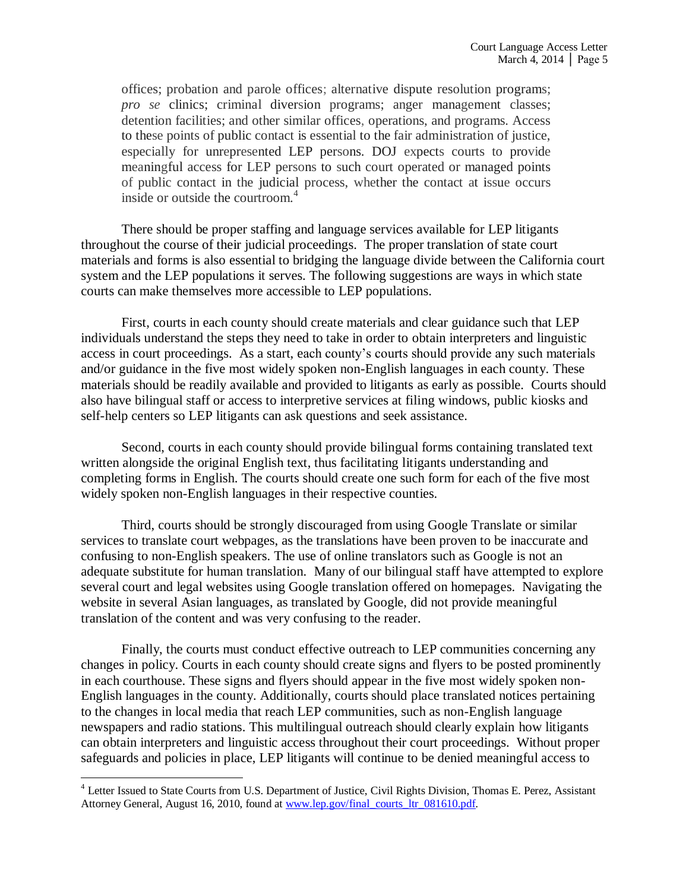offices; probation and parole offices; alternative dispute resolution programs; *pro se* clinics; criminal diversion programs; anger management classes; detention facilities; and other similar offices, operations, and programs. Access to these points of public contact is essential to the fair administration of justice, especially for unrepresented LEP persons. DOJ expects courts to provide meaningful access for LEP persons to such court operated or managed points of public contact in the judicial process, whether the contact at issue occurs inside or outside the courtroom.<sup>4</sup>

There should be proper staffing and language services available for LEP litigants throughout the course of their judicial proceedings. The proper translation of state court materials and forms is also essential to bridging the language divide between the California court system and the LEP populations it serves. The following suggestions are ways in which state courts can make themselves more accessible to LEP populations.

First, courts in each county should create materials and clear guidance such that LEP individuals understand the steps they need to take in order to obtain interpreters and linguistic access in court proceedings. As a start, each county's courts should provide any such materials and/or guidance in the five most widely spoken non-English languages in each county. These materials should be readily available and provided to litigants as early as possible. Courts should also have bilingual staff or access to interpretive services at filing windows, public kiosks and self-help centers so LEP litigants can ask questions and seek assistance.

Second, courts in each county should provide bilingual forms containing translated text written alongside the original English text, thus facilitating litigants understanding and completing forms in English. The courts should create one such form for each of the five most widely spoken non-English languages in their respective counties.

Third, courts should be strongly discouraged from using Google Translate or similar services to translate court webpages, as the translations have been proven to be inaccurate and confusing to non-English speakers. The use of online translators such as Google is not an adequate substitute for human translation. Many of our bilingual staff have attempted to explore several court and legal websites using Google translation offered on homepages. Navigating the website in several Asian languages, as translated by Google, did not provide meaningful translation of the content and was very confusing to the reader.

Finally, the courts must conduct effective outreach to LEP communities concerning any changes in policy. Courts in each county should create signs and flyers to be posted prominently in each courthouse. These signs and flyers should appear in the five most widely spoken non-English languages in the county. Additionally, courts should place translated notices pertaining to the changes in local media that reach LEP communities, such as non-English language newspapers and radio stations. This multilingual outreach should clearly explain how litigants can obtain interpreters and linguistic access throughout their court proceedings. Without proper safeguards and policies in place, LEP litigants will continue to be denied meaningful access to

 $\overline{a}$ 

<sup>&</sup>lt;sup>4</sup> Letter Issued to State Courts from U.S. Department of Justice, Civil Rights Division, Thomas E. Perez, Assistant Attorney General, August 16, 2010, found at [www.lep.gov/final\\_courts\\_ltr\\_081610.pdf](http://www.lep.gov/final_courts_ltr_081610.pdf)*.*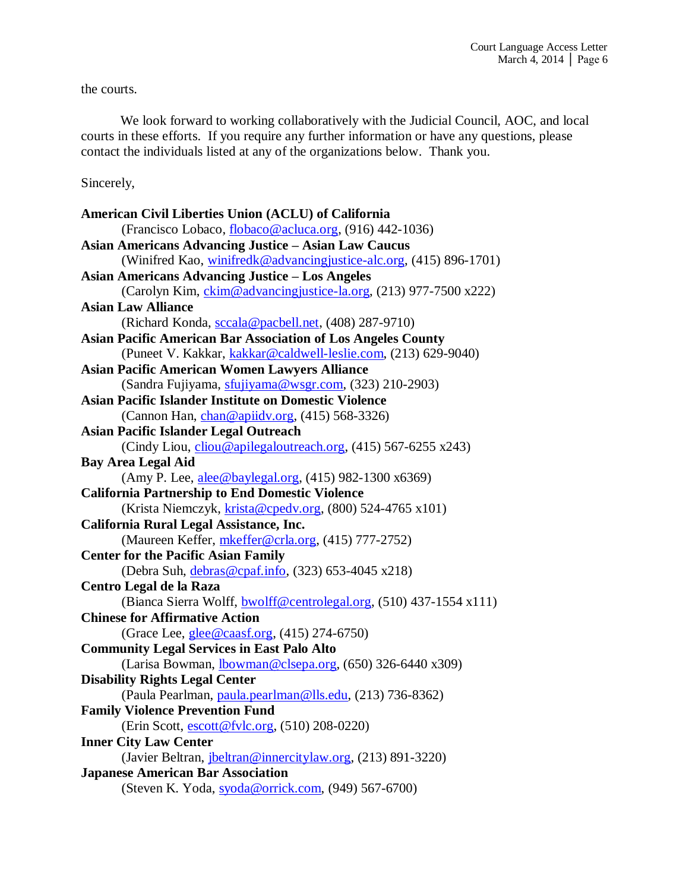the courts.

We look forward to working collaboratively with the Judicial Council, AOC, and local courts in these efforts. If you require any further information or have any questions, please contact the individuals listed at any of the organizations below. Thank you.

Sincerely,

| American Civil Liberties Union (ACLU) of California                   |
|-----------------------------------------------------------------------|
| (Francisco Lobaco, flobaco@acluca.org, (916) 442-1036)                |
| <b>Asian Americans Advancing Justice - Asian Law Caucus</b>           |
| (Winifred Kao, winifredk@advancingjustice-alc.org, (415) 896-1701)    |
| <b>Asian Americans Advancing Justice - Los Angeles</b>                |
| (Carolyn Kim, ckim@advancingjustice-la.org, (213) 977-7500 x222)      |
| <b>Asian Law Alliance</b>                                             |
| (Richard Konda, sccala@pacbell.net, (408) 287-9710)                   |
| <b>Asian Pacific American Bar Association of Los Angeles County</b>   |
| (Puneet V. Kakkar, kakkar@caldwell-leslie.com, (213) 629-9040)        |
| <b>Asian Pacific American Women Lawyers Alliance</b>                  |
| (Sandra Fujiyama, sfujiyama@wsgr.com, (323) 210-2903)                 |
| <b>Asian Pacific Islander Institute on Domestic Violence</b>          |
| (Cannon Han, chan@apiidv.org, (415) 568-3326)                         |
| <b>Asian Pacific Islander Legal Outreach</b>                          |
| (Cindy Liou, <i>cliou@apilegaloutreach.org</i> , (415) 567-6255 x243) |
| <b>Bay Area Legal Aid</b>                                             |
| (Amy P. Lee, alee@baylegal.org, (415) 982-1300 x6369)                 |
| <b>California Partnership to End Domestic Violence</b>                |
| (Krista Niemczyk, krista@cpedv.org, (800) 524-4765 x101)              |
| California Rural Legal Assistance, Inc.                               |
| (Maureen Keffer, mkeffer@crla.org, (415) 777-2752)                    |
| <b>Center for the Pacific Asian Family</b>                            |
| (Debra Suh, debras@cpaf.info, (323) 653-4045 x218)                    |
| Centro Legal de la Raza                                               |
| (Bianca Sierra Wolff, bwolff@centrolegal.org, (510) 437-1554 x111)    |
| <b>Chinese for Affirmative Action</b>                                 |
| (Grace Lee, <i>glee@caasf.org</i> , (415) 274-6750)                   |
| <b>Community Legal Services in East Palo Alto</b>                     |
| (Larisa Bowman, <i>Ibowman@clsepa.org</i> , (650) 326-6440 x309)      |
| <b>Disability Rights Legal Center</b>                                 |
| (Paula Pearlman, paula.pearlman@lls.edu, (213) 736-8362)              |
| <b>Family Violence Prevention Fund</b>                                |
| (Erin Scott, escott@fvlc.org, (510) 208-0220)                         |
| <b>Inner City Law Center</b>                                          |
| (Javier Beltran, <i>jbeltran@innercitylaw.org</i> , (213) 891-3220)   |
| <b>Japanese American Bar Association</b>                              |
| (Steven K. Yoda, syoda@orrick.com, (949) 567-6700)                    |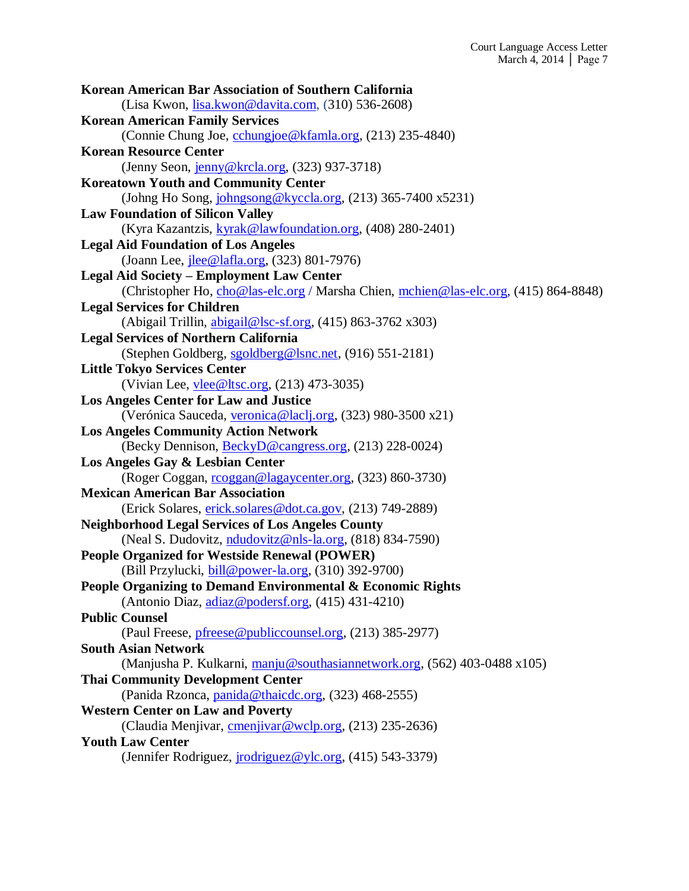| Korean American Bar Association of Southern California                               |
|--------------------------------------------------------------------------------------|
| (Lisa Kwon, lisa.kwon@davita.com, (310) 536-2608)                                    |
| <b>Korean American Family Services</b>                                               |
| (Connie Chung Joe, cchungjoe@kfamla.org, (213) 235-4840)                             |
| <b>Korean Resource Center</b>                                                        |
| (Jenny Seon, jenny@krcla.org, (323) 937-3718)                                        |
| <b>Koreatown Youth and Community Center</b>                                          |
| (Johng Ho Song, johngsong@kyccla.org, (213) 365-7400 x5231)                          |
| <b>Law Foundation of Silicon Valley</b>                                              |
| (Kyra Kazantzis, kyrak@lawfoundation.org, (408) 280-2401)                            |
| <b>Legal Aid Foundation of Los Angeles</b>                                           |
| (Joann Lee, <i>ilee</i> @lafla.org, (323) 801-7976)                                  |
| <b>Legal Aid Society - Employment Law Center</b>                                     |
| (Christopher Ho, cho@las-elc.org / Marsha Chien, mchien@las-elc.org, (415) 864-8848) |
| <b>Legal Services for Children</b>                                                   |
| (Abigail Trillin, abigail@lsc-sf.org, (415) 863-3762 x303)                           |
| <b>Legal Services of Northern California</b>                                         |
| (Stephen Goldberg, sgoldberg@lsnc.net, (916) 551-2181)                               |
| <b>Little Tokyo Services Center</b>                                                  |
| (Vivian Lee, vlee@ltsc.org, (213) 473-3035)                                          |
| <b>Los Angeles Center for Law and Justice</b>                                        |
| (Verónica Sauceda, veronica@laclj.org, (323) 980-3500 x21)                           |
| <b>Los Angeles Community Action Network</b>                                          |
| (Becky Dennison, <b>BeckyD@cangress.org</b> , (213) 228-0024)                        |
| Los Angeles Gay & Lesbian Center                                                     |
| (Roger Coggan, rcoggan@lagaycenter.org, (323) 860-3730)                              |
| <b>Mexican American Bar Association</b>                                              |
| (Erick Solares, erick.solares@dot.ca.gov, (213) 749-2889)                            |
| <b>Neighborhood Legal Services of Los Angeles County</b>                             |
| (Neal S. Dudovitz, ndudovitz@nls-la.org, (818) 834-7590)                             |
| <b>People Organized for Westside Renewal (POWER)</b>                                 |
| (Bill Przylucki, bill@power-la.org, (310) 392-9700)                                  |
| People Organizing to Demand Environmental & Economic Rights                          |
| (Antonio Diaz, $\alpha$ diaz@podersf.org, (415) 431-4210)                            |
| <b>Public Counsel</b>                                                                |
| (Paul Freese, pfreese@publiccounsel.org, (213) 385-2977)                             |
| <b>South Asian Network</b>                                                           |
| (Manjusha P. Kulkarni, manju@southasiannetwork.org, (562) 403-0488 x105)             |
| <b>Thai Community Development Center</b>                                             |
| (Panida Rzonca, panida@thaicdc.org, (323) 468-2555)                                  |
| <b>Western Center on Law and Poverty</b>                                             |
| (Claudia Menjivar, <i>cmenjivar@wclp.org</i> , (213) 235-2636)                       |
| <b>Youth Law Center</b>                                                              |
| (Jennifer Rodriguez, <i>irodriguez@ylc.org</i> , (415) 543-3379)                     |
|                                                                                      |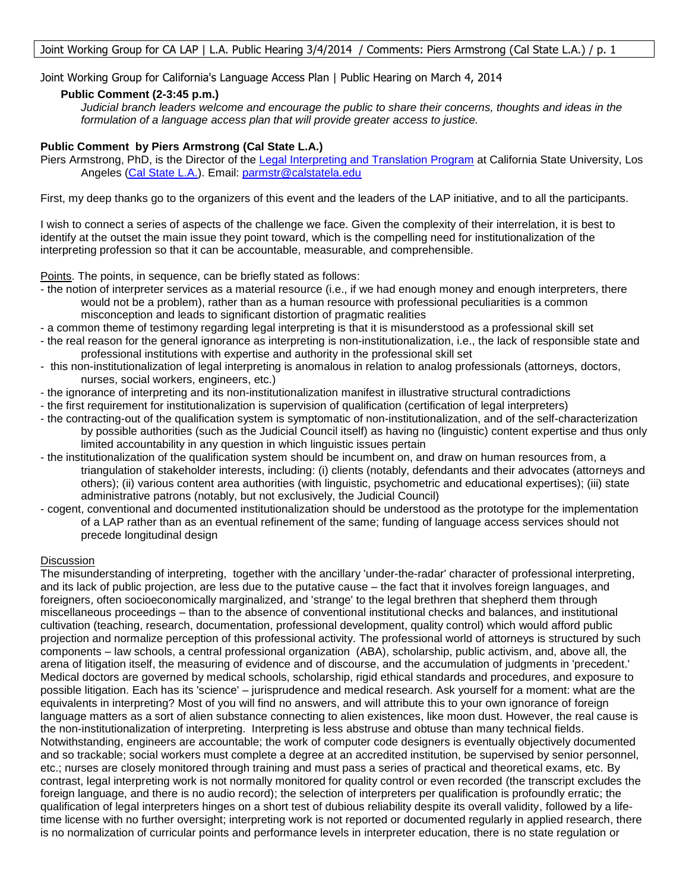Joint Working Group for California's Language Access Plan | Public Hearing on March 4, 2014

#### **Public Comment (2-3:45 p.m.)**

*Judicial branch leaders welcome and encourage the public to share their concerns, thoughts and ideas in the formulation of a language access plan that will provide greater access to justice.*

### **Public Comment by Piers Armstrong (Cal State L.A.)**

Piers Armstrong, PhD, is the Director of the [Legal Interpreting and Translation Program](http://web.calstatela.edu/extension/sub/professional/legalInter.htm) at California State University, Los Angeles [\(Cal State L.A.\)](http://www.calstatela.edu/). Email: [parmstr@calstatela.edu](mailto:parmstr@calstatela.edu)

First, my deep thanks go to the organizers of this event and the leaders of the LAP initiative, and to all the participants.

I wish to connect a series of aspects of the challenge we face. Given the complexity of their interrelation, it is best to identify at the outset the main issue they point toward, which is the compelling need for institutionalization of the interpreting profession so that it can be accountable, measurable, and comprehensible.

Points. The points, in sequence, can be briefly stated as follows:

- the notion of interpreter services as a material resource (i.e., if we had enough money and enough interpreters, there would not be a problem), rather than as a human resource with professional peculiarities is a common misconception and leads to significant distortion of pragmatic realities
- a common theme of testimony regarding legal interpreting is that it is misunderstood as a professional skill set
- the real reason for the general ignorance as interpreting is non-institutionalization, i.e., the lack of responsible state and professional institutions with expertise and authority in the professional skill set
- this non-institutionalization of legal interpreting is anomalous in relation to analog professionals (attorneys, doctors, nurses, social workers, engineers, etc.)
- the ignorance of interpreting and its non-institutionalization manifest in illustrative structural contradictions
- the first requirement for institutionalization is supervision of qualification (certification of legal interpreters)
- the contracting-out of the qualification system is symptomatic of non-institutionalization, and of the self-characterization by possible authorities (such as the Judicial Council itself) as having no (linguistic) content expertise and thus only limited accountability in any question in which linguistic issues pertain
- the institutionalization of the qualification system should be incumbent on, and draw on human resources from, a triangulation of stakeholder interests, including: (i) clients (notably, defendants and their advocates (attorneys and others); (ii) various content area authorities (with linguistic, psychometric and educational expertises); (iii) state administrative patrons (notably, but not exclusively, the Judicial Council)
- cogent, conventional and documented institutionalization should be understood as the prototype for the implementation of a LAP rather than as an eventual refinement of the same; funding of language access services should not precede longitudinal design

#### **Discussion**

The misunderstanding of interpreting, together with the ancillary 'under-the-radar' character of professional interpreting, and its lack of public projection, are less due to the putative cause – the fact that it involves foreign languages, and foreigners, often socioeconomically marginalized, and 'strange' to the legal brethren that shepherd them through miscellaneous proceedings – than to the absence of conventional institutional checks and balances, and institutional cultivation (teaching, research, documentation, professional development, quality control) which would afford public projection and normalize perception of this professional activity. The professional world of attorneys is structured by such components – law schools, a central professional organization (ABA), scholarship, public activism, and, above all, the arena of litigation itself, the measuring of evidence and of discourse, and the accumulation of judgments in 'precedent.' Medical doctors are governed by medical schools, scholarship, rigid ethical standards and procedures, and exposure to possible litigation. Each has its 'science' – jurisprudence and medical research. Ask yourself for a moment: what are the equivalents in interpreting? Most of you will find no answers, and will attribute this to your own ignorance of foreign language matters as a sort of alien substance connecting to alien existences, like moon dust. However, the real cause is the non-institutionalization of interpreting. Interpreting is less abstruse and obtuse than many technical fields. Notwithstanding, engineers are accountable; the work of computer code designers is eventually objectively documented and so trackable; social workers must complete a degree at an accredited institution, be supervised by senior personnel, etc.; nurses are closely monitored through training and must pass a series of practical and theoretical exams, etc. By contrast, legal interpreting work is not normally monitored for quality control or even recorded (the transcript excludes the foreign language, and there is no audio record); the selection of interpreters per qualification is profoundly erratic; the qualification of legal interpreters hinges on a short test of dubious reliability despite its overall validity, followed by a lifetime license with no further oversight; interpreting work is not reported or documented regularly in applied research, there is no normalization of curricular points and performance levels in interpreter education, there is no state regulation or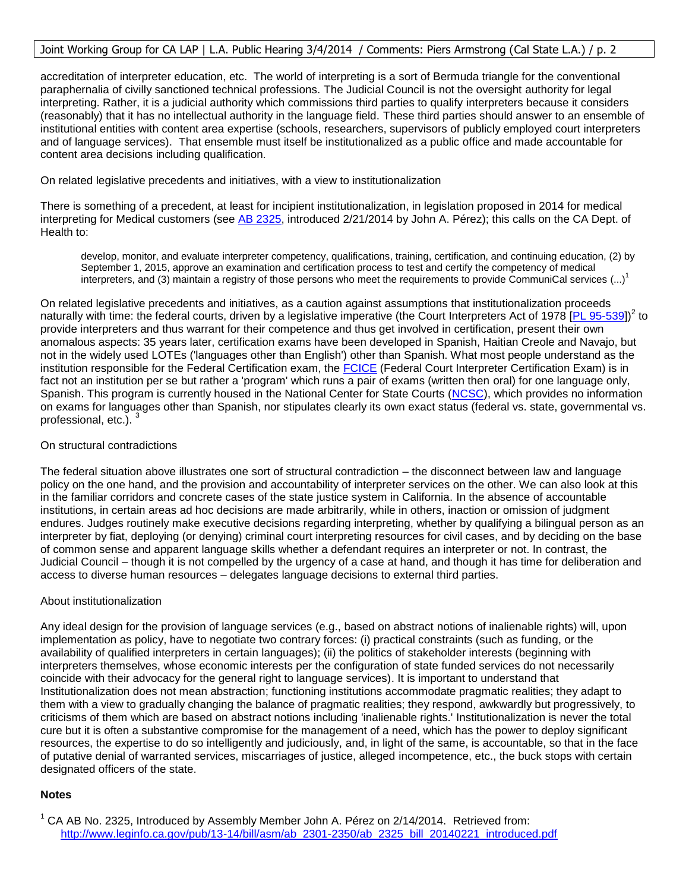### Joint Working Group for CA LAP | L.A. Public Hearing 3/4/2014 / Comments: Piers Armstrong (Cal State L.A.) / p. 2

accreditation of interpreter education, etc. The world of interpreting is a sort of Bermuda triangle for the conventional paraphernalia of civilly sanctioned technical professions. The Judicial Council is not the oversight authority for legal interpreting. Rather, it is a judicial authority which commissions third parties to qualify interpreters because it considers (reasonably) that it has no intellectual authority in the language field. These third parties should answer to an ensemble of institutional entities with content area expertise (schools, researchers, supervisors of publicly employed court interpreters and of language services). That ensemble must itself be institutionalized as a public office and made accountable for content area decisions including qualification.

On related legislative precedents and initiatives, with a view to institutionalization

There is something of a precedent, at least for incipient institutionalization, in legislation proposed in 2014 for medical interpreting for Medical customers (see [AB 2325,](http://www.leginfo.ca.gov/pub/13-14/bill/asm/ab_2301-2350/ab_2325_bill_20140221_introduced.pdf) introduced 2/21/2014 by John A. Pérez); this calls on the CA Dept. of Health to:

develop, monitor, and evaluate interpreter competency, qualifications, training, certification, and continuing education, (2) by September 1, 2015, approve an examination and certification process to test and certify the competency of medical interpreters, and (3) maintain a registry of those persons who meet the requirements to provide CommuniCal services  $(...)^1$ 

On related legislative precedents and initiatives, as a caution against assumptions that institutionalization proceeds naturally with time: the federal courts, driven by a legislative imperative (the Court Interpreters Act of 1978 [\[PL 95-539\]](http://www.gpo.gov/fdsys/pkg/STATUTE-92/pdf/STATUTE-92-Pg2040.pdf))<sup>2</sup> to provide interpreters and thus warrant for their competence and thus get involved in certification, present their own anomalous aspects: 35 years later, certification exams have been developed in Spanish, Haitian Creole and Navajo, but not in the widely used LOTEs ('languages other than English') other than Spanish. What most people understand as the institution responsible for the Federal Certification exam, the [FCICE](http://www.ncsc.org/fcice/) (Federal Court Interpreter Certification Exam) is in fact not an institution per se but rather a 'program' which runs a pair of exams (written then oral) for one language only, Spanish. This program is currently housed in the National Center for State Courts [\(NCSC\)](http://www.ncsc.org/), which provides no information on exams for languages other than Spanish, nor stipulates clearly its own exact status (federal vs. state, governmental vs. professional, etc.).

#### On structural contradictions

The federal situation above illustrates one sort of structural contradiction – the disconnect between law and language policy on the one hand, and the provision and accountability of interpreter services on the other. We can also look at this in the familiar corridors and concrete cases of the state justice system in California. In the absence of accountable institutions, in certain areas ad hoc decisions are made arbitrarily, while in others, inaction or omission of judgment endures. Judges routinely make executive decisions regarding interpreting, whether by qualifying a bilingual person as an interpreter by fiat, deploying (or denying) criminal court interpreting resources for civil cases, and by deciding on the base of common sense and apparent language skills whether a defendant requires an interpreter or not. In contrast, the Judicial Council – though it is not compelled by the urgency of a case at hand, and though it has time for deliberation and access to diverse human resources – delegates language decisions to external third parties.

#### About institutionalization

Any ideal design for the provision of language services (e.g., based on abstract notions of inalienable rights) will, upon implementation as policy, have to negotiate two contrary forces: (i) practical constraints (such as funding, or the availability of qualified interpreters in certain languages); (ii) the politics of stakeholder interests (beginning with interpreters themselves, whose economic interests per the configuration of state funded services do not necessarily coincide with their advocacy for the general right to language services). It is important to understand that Institutionalization does not mean abstraction; functioning institutions accommodate pragmatic realities; they adapt to them with a view to gradually changing the balance of pragmatic realities; they respond, awkwardly but progressively, to criticisms of them which are based on abstract notions including 'inalienable rights.' Institutionalization is never the total cure but it is often a substantive compromise for the management of a need, which has the power to deploy significant resources, the expertise to do so intelligently and judiciously, and, in light of the same, is accountable, so that in the face of putative denial of warranted services, miscarriages of justice, alleged incompetence, etc., the buck stops with certain designated officers of the state.

#### **Notes**

 $1^1$  CA AB No. 2325, Introduced by Assembly Member John A. Pérez on 2/14/2014. Retrieved from: [http://www.leginfo.ca.gov/pub/13-14/bill/asm/ab\\_2301-2350/ab\\_2325\\_bill\\_20140221\\_introduced.pdf](http://www.leginfo.ca.gov/pub/13-14/bill/asm/ab_2301-2350/ab_2325_bill_20140221_introduced.pdf)